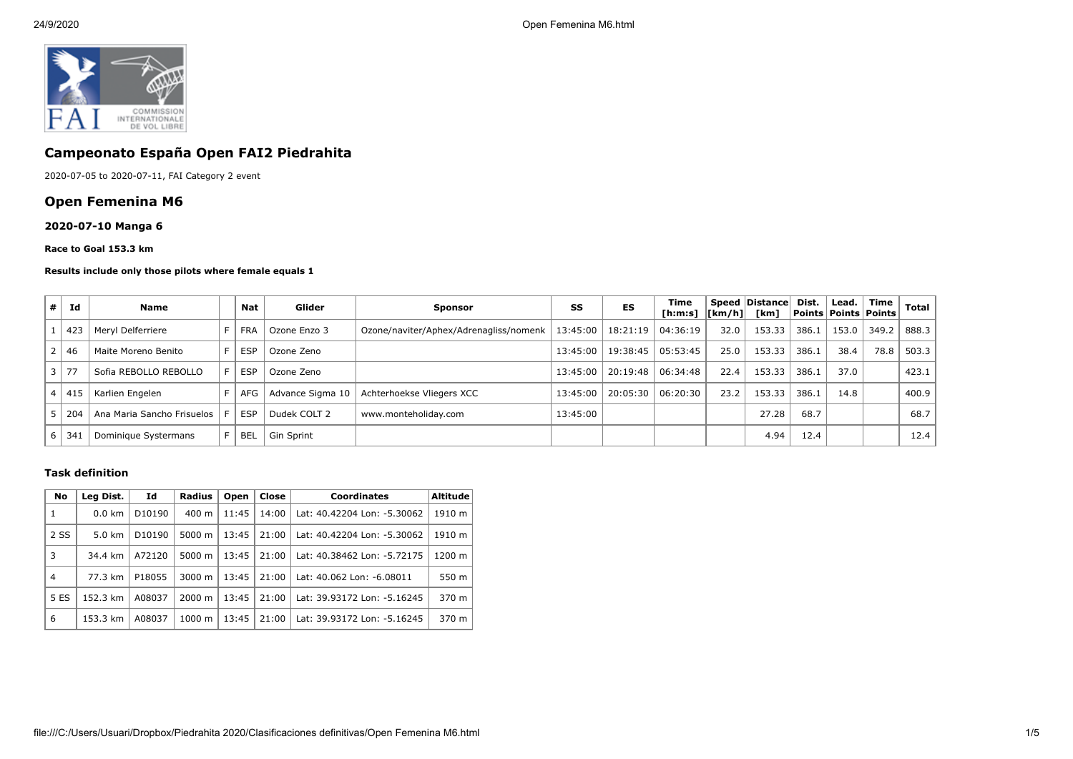

# **Campeonato España Open FAI2 Piedrahita**

2020-07-05 to 2020-07-11, FAI Category 2 event

# **Open Femenina M6**

## **2020-07-10 Manga 6**

#### **Race to Goal 153.3 km**

#### **Results include only those pilots where female equals 1**

| # | Ιd         | <b>Name</b>                |    | Nat        | Glider           | <b>Sponsor</b>                         | SS       | ES                  | Time<br>[h:m:s]   [km/h]   [km] |      | <b>Speed Distancel</b> | Dist. | Lead. | Time<br>Points   Points   Points | Total |
|---|------------|----------------------------|----|------------|------------------|----------------------------------------|----------|---------------------|---------------------------------|------|------------------------|-------|-------|----------------------------------|-------|
|   | 423        | Meryl Delferriere          |    | <b>FRA</b> | Ozone Enzo 3     | Ozone/naviter/Aphex/Adrenagliss/nomenk |          | 13:45:00   18:21:19 | 04:36:19                        | 32.0 | 153.33                 | 386.1 | 153.0 | 349.2                            | 888.3 |
|   | 46         | Maite Moreno Benito        | F. | <b>ESP</b> | Ozone Zeno       |                                        | 13:45:00 | 19:38:45            | 05:53:45                        | 25.0 | 153.33                 | 386.1 | 38.4  | 78.8                             | 503.3 |
|   | $\vert$ 77 | Sofia REBOLLO REBOLLO      | F. | <b>ESP</b> | Ozone Zeno       |                                        | 13:45:00 | 20:19:48            | 06:34:48                        | 22.4 | 153.33                 | 386.1 | 37.0  |                                  | 423.1 |
|   | 41!        | Karlien Engelen            |    | AFG        | Advance Sigma 10 | Achterhoekse Vliegers XCC              | 13:45:00 | 20:05:30            | 06:20:30                        | 23.2 | 153.33                 | 386.1 | 14.8  |                                  | 400.9 |
|   | 204        | Ana Maria Sancho Frisuelos |    | <b>ESP</b> | Dudek COLT 2     | www.monteholiday.com                   | 13:45:00 |                     |                                 |      | 27.28                  | 68.7  |       |                                  | 68.7  |
|   | 34         | Dominique Systermans       |    | <b>BEL</b> | Gin Sprint       |                                        |          |                     |                                 |      | 4.94                   | 12.4  |       |                                  | 12.4  |

#### **Task definition**

| No             | Leg Dist.        | Id                 | <b>Radius</b>      | Open  | Close | <b>Coordinates</b>          | <b>Altitude</b> |  |
|----------------|------------------|--------------------|--------------------|-------|-------|-----------------------------|-----------------|--|
| 1              | $0.0 \text{ km}$ | D <sub>10190</sub> | $400 \text{ m}$    | 11:45 | 14:00 | Lat: 40.42204 Lon: -5.30062 | 1910 m          |  |
| 2 SS           | $5.0 \text{ km}$ | D10190             | 5000 m             | 13:45 | 21:00 | Lat: 40.42204 Lon: -5.30062 | 1910 m          |  |
| 3              | 34.4 km          | A72120             | 5000 m             | 13:45 | 21:00 | Lat: 40.38462 Lon: -5.72175 | 1200 m          |  |
| $\overline{4}$ | 77.3 km          | P18055             | 3000 m             | 13:45 | 21:00 | Lat: 40.062 Lon: -6.08011   | 550 m           |  |
| 5 ES           | 152.3 km         | A08037             | $2000 \; \text{m}$ | 13:45 | 21:00 | Lat: 39.93172 Lon: -5.16245 | 370 m           |  |
| 6              | 153.3 km         | A08037             | $1000 \;{\rm m}$   | 13:45 | 21:00 | Lat: 39.93172 Lon: -5.16245 | 370 m           |  |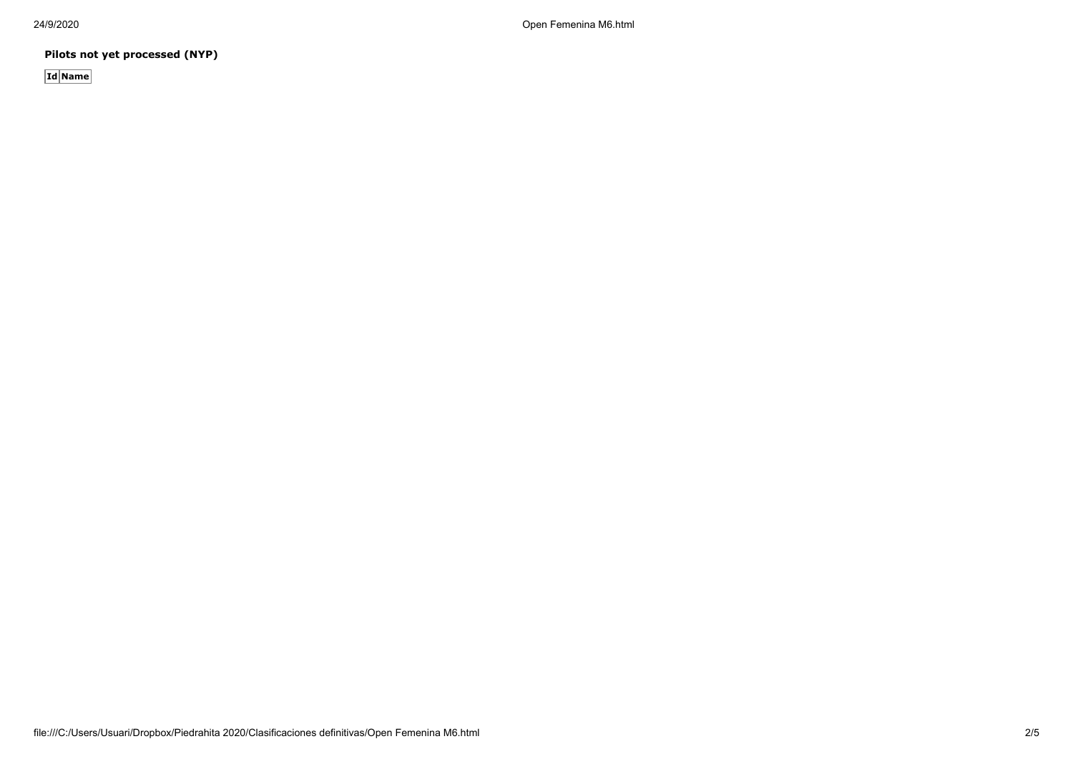24/9/2020 Open Femenina M6.html

**Pilots not yet processed (NYP)**

**Id Name**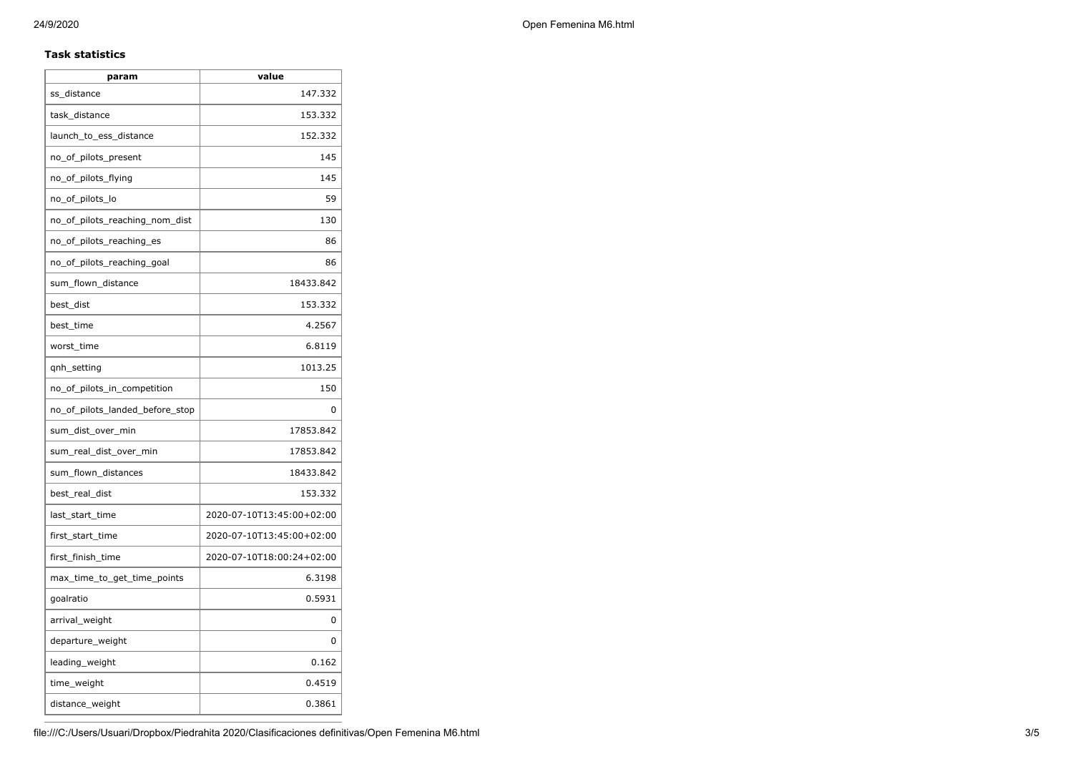## **Task statistics**

| param                           | value                     |  |  |  |
|---------------------------------|---------------------------|--|--|--|
| ss_distance                     | 147.332                   |  |  |  |
| task_distance                   | 153.332                   |  |  |  |
| launch_to_ess_distance          | 152.332                   |  |  |  |
| no_of_pilots_present            | 145                       |  |  |  |
| no_of_pilots_flying             | 145                       |  |  |  |
| no_of_pilots_lo                 | 59                        |  |  |  |
| no_of_pilots_reaching_nom_dist  | 130                       |  |  |  |
| no_of_pilots_reaching_es        | 86                        |  |  |  |
| no_of_pilots_reaching_goal      | 86                        |  |  |  |
| sum_flown_distance              | 18433.842                 |  |  |  |
| best_dist                       | 153.332                   |  |  |  |
| best_time                       | 4.2567                    |  |  |  |
| worst_time                      | 6.8119                    |  |  |  |
| qnh_setting                     | 1013.25                   |  |  |  |
| no_of_pilots_in_competition     | 150                       |  |  |  |
| no_of_pilots_landed_before_stop | 0                         |  |  |  |
| sum_dist_over_min               | 17853.842                 |  |  |  |
| sum real dist over min          | 17853.842                 |  |  |  |
| sum_flown_distances             | 18433.842                 |  |  |  |
| best_real_dist                  | 153.332                   |  |  |  |
| last start time                 | 2020-07-10T13:45:00+02:00 |  |  |  |
| first_start_time                | 2020-07-10T13:45:00+02:00 |  |  |  |
| first_finish_time               | 2020-07-10T18:00:24+02:00 |  |  |  |
| max_time_to_get_time_points     | 6.3198                    |  |  |  |
| goalratio                       | 0.5931                    |  |  |  |
| arrival_weight                  | 0                         |  |  |  |
| departure_weight                | 0                         |  |  |  |
| leading_weight                  | 0.162                     |  |  |  |
| time_weight                     | 0.4519                    |  |  |  |
| distance_weight                 | 0.3861                    |  |  |  |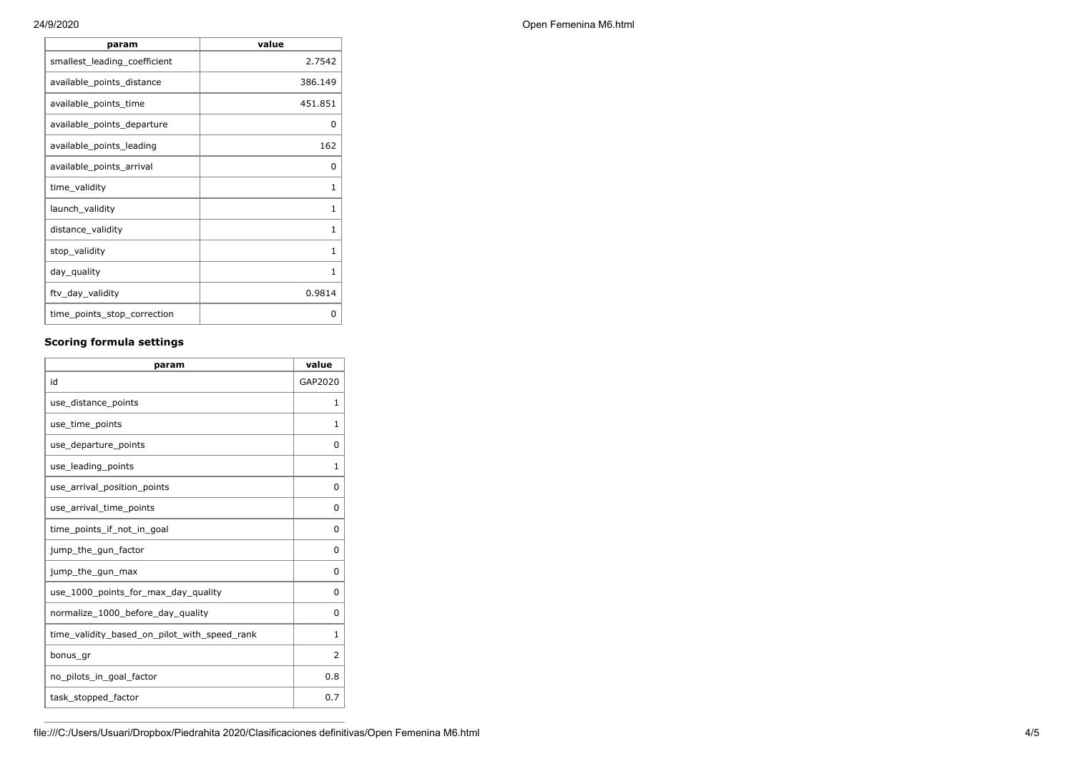| param                        | value        |
|------------------------------|--------------|
| smallest_leading_coefficient | 2.7542       |
| available_points_distance    | 386.149      |
| available_points_time        | 451.851      |
| available_points_departure   | O            |
| available_points_leading     | 162          |
| available_points_arrival     | 0            |
| time_validity                | 1            |
| launch_validity              | 1            |
| distance_validity            | 1            |
| stop_validity                | 1            |
| day_quality                  | $\mathbf{1}$ |
| ftv_day_validity             | 0.9814       |
| time_points_stop_correction  | ი            |

## **Scoring formula settings**

| param                                        | value       |
|----------------------------------------------|-------------|
| id                                           | GAP2020     |
| use_distance_points                          | 1           |
| use_time_points                              | 1           |
| use_departure_points                         | $\Omega$    |
| use leading points                           | 1           |
| use_arrival_position_points                  | $\mathbf 0$ |
| use_arrival_time_points                      | 0           |
| time points if not in goal                   | $\Omega$    |
| jump_the_gun_factor                          | $\Omega$    |
| jump_the_gun_max                             | 0           |
| use_1000_points_for_max_day_quality          | $\Omega$    |
| normalize_1000_before_day_quality            | 0           |
| time_validity_based_on_pilot_with_speed_rank | 1           |
| bonus_gr                                     | 2           |
| no_pilots_in_goal_factor                     | 0.8         |
| task_stopped_factor                          | 0.7         |

24/9/2020 Open Femenina M6.html